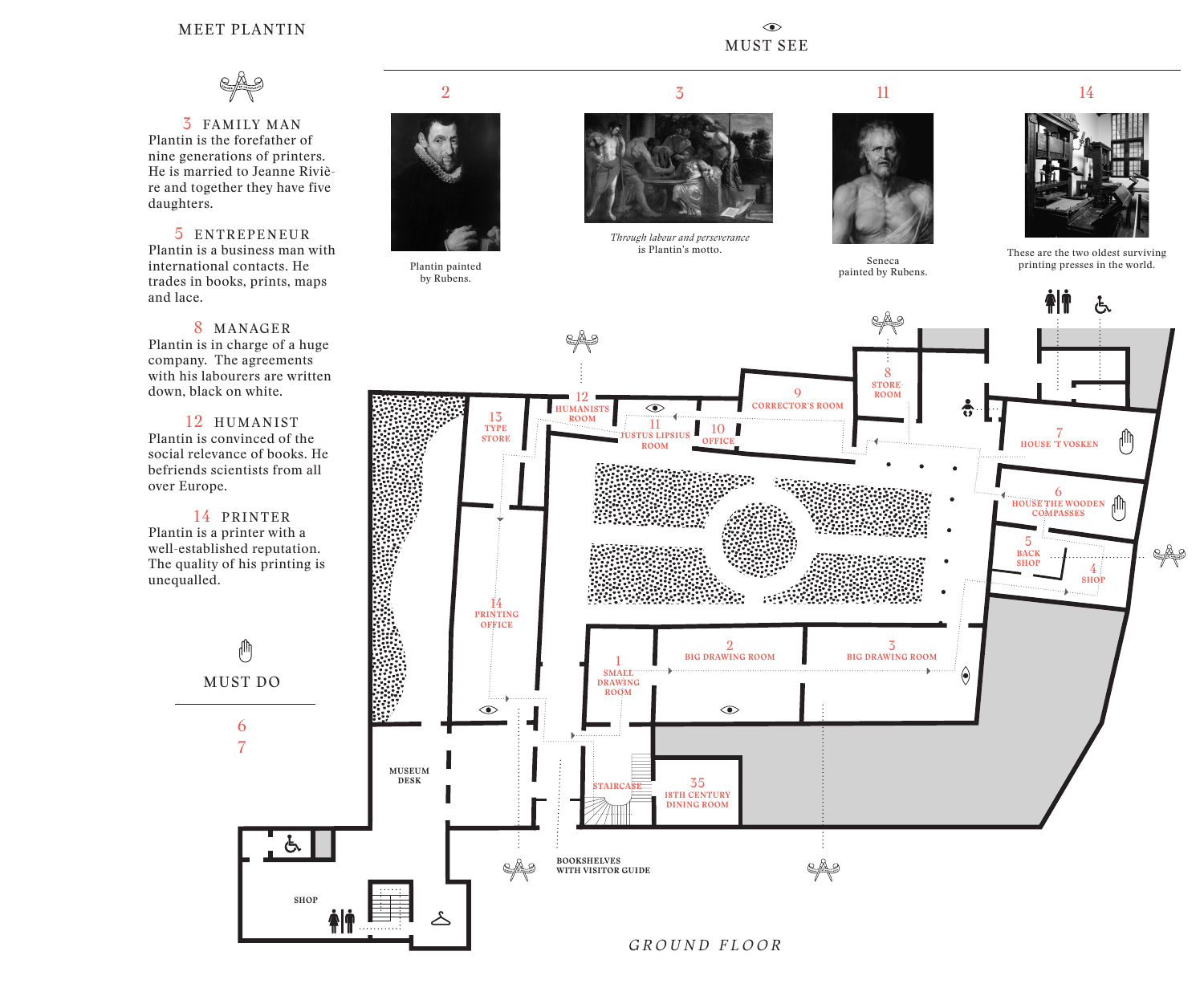## MEET PLANTIN



3 FAMILY MAN Plantin is the forefather of nine generations of printers. He is married to Jeanne Rivière and together they have five daughters.

5 ENTREPENEUR Plantin is a business man with international contacts. He trades in books, prints, maps and lace.

8 MANAGER Plantin is in charge of a huge company. The agreements with his labourers are written down, black on white.

12 HUMANIST Plantin is convinced of the social relevance of books. He befriends scientists from all over Europe.

14 PRINTER Plantin is a printer with a well-established reputation. The quality of his printing is unequalled.